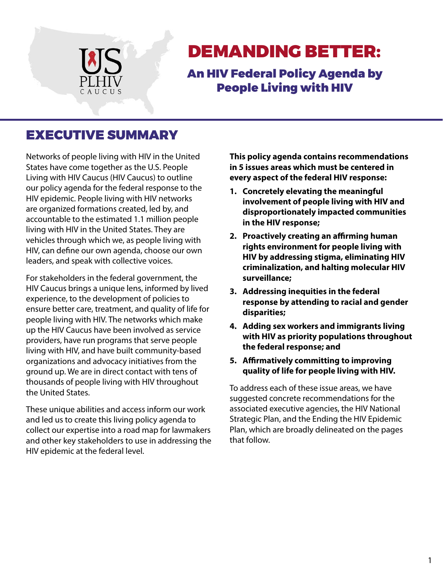

# DEMANDING BETTER:

An HIV Federal Policy Agenda by People Living with HIV

## EXECUTIVE SUMMARY

Networks of people living with HIV in the United States have come together as the U.S. People Living with HIV Caucus (HIV Caucus) to outline our policy agenda for the federal response to the HIV epidemic. People living with HIV networks are organized formations created, led by, and accountable to the estimated 1.1 million people living with HIV in the United States. They are vehicles through which we, as people living with HIV, can define our own agenda, choose our own leaders, and speak with collective voices.

For stakeholders in the federal government, the HIV Caucus brings a unique lens, informed by lived experience, to the development of policies to ensure better care, treatment, and quality of life for people living with HIV. The networks which make up the HIV Caucus have been involved as service providers, have run programs that serve people living with HIV, and have built community-based organizations and advocacy initiatives from the ground up. We are in direct contact with tens of thousands of people living with HIV throughout the United States.

These unique abilities and access inform our work and led us to create this living policy agenda to collect our expertise into a road map for lawmakers and other key stakeholders to use in addressing the HIV epidemic at the federal level.

**This policy agenda contains recommendations in 5 issues areas which must be centered in every aspect of the federal HIV response:**

- **1. Concretely elevating the meaningful involvement of people living with HIV and disproportionately impacted communities in the HIV response;**
- **2. Proactively creating an affirming human rights environment for people living with HIV by addressing stigma, eliminating HIV criminalization, and halting molecular HIV surveillance;**
- **3. Addressing inequities in the federal response by attending to racial and gender disparities;**
- **4. Adding sex workers and immigrants living with HIV as priority populations throughout the federal response; and**
- **5. Affirmatively committing to improving quality of life for people living with HIV.**

To address each of these issue areas, we have suggested concrete recommendations for the associated executive agencies, the HIV National Strategic Plan, and the Ending the HIV Epidemic Plan, which are broadly delineated on the pages that follow.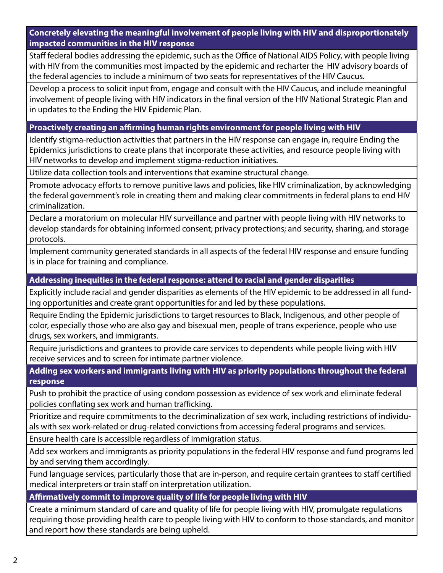**Concretely elevating the meaningful involvement of people living with HIV and disproportionately impacted communities in the HIV response**

Staff federal bodies addressing the epidemic, such as the Office of National AIDS Policy, with people living with HIV from the communities most impacted by the epidemic and recharter the HIV advisory boards of the federal agencies to include a minimum of two seats for representatives of the HIV Caucus.

Develop a process to solicit input from, engage and consult with the HIV Caucus, and include meaningful involvement of people living with HIV indicators in the final version of the HIV National Strategic Plan and in updates to the Ending the HIV Epidemic Plan.

#### **Proactively creating an affirming human rights environment for people living with HIV**

Identify stigma-reduction activities that partners in the HIV response can engage in, require Ending the Epidemics jurisdictions to create plans that incorporate these activities, and resource people living with HIV networks to develop and implement stigma-reduction initiatives.

Utilize data collection tools and interventions that examine structural change.

Promote advocacy efforts to remove punitive laws and policies, like HIV criminalization, by acknowledging the federal government's role in creating them and making clear commitments in federal plans to end HIV criminalization.

Declare a moratorium on molecular HIV surveillance and partner with people living with HIV networks to develop standards for obtaining informed consent; privacy protections; and security, sharing, and storage protocols.

Implement community generated standards in all aspects of the federal HIV response and ensure funding is in place for training and compliance.

#### **Addressing inequities in the federal response: attend to racial and gender disparities**

Explicitly include racial and gender disparities as elements of the HIV epidemic to be addressed in all funding opportunities and create grant opportunities for and led by these populations.

Require Ending the Epidemic jurisdictions to target resources to Black, Indigenous, and other people of color, especially those who are also gay and bisexual men, people of trans experience, people who use drugs, sex workers, and immigrants.

Require jurisdictions and grantees to provide care services to dependents while people living with HIV receive services and to screen for intimate partner violence.

**Adding sex workers and immigrants living with HIV as priority populations throughout the federal response**

Push to prohibit the practice of using condom possession as evidence of sex work and eliminate federal policies conflating sex work and human trafficking.

Prioritize and require commitments to the decriminalization of sex work, including restrictions of individuals with sex work-related or drug-related convictions from accessing federal programs and services.

Ensure health care is accessible regardless of immigration status.

Add sex workers and immigrants as priority populations in the federal HIV response and fund programs led by and serving them accordingly.

Fund language services, particularly those that are in-person, and require certain grantees to staff certified medical interpreters or train staff on interpretation utilization.

### **Affirmatively commit to improve quality of life for people living with HIV**

Create a minimum standard of care and quality of life for people living with HIV, promulgate regulations requiring those providing health care to people living with HIV to conform to those standards, and monitor and report how these standards are being upheld.